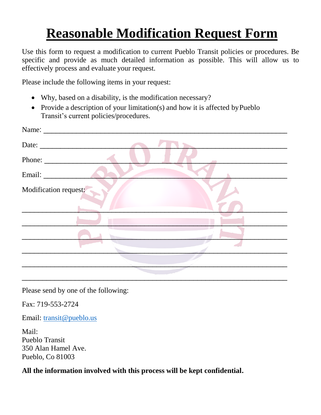## **Reasonable Modification Request Form**

Use this form to request a modification to current Pueblo Transit policies or procedures. Be specific and provide as much detailed information as possible. This will allow us to effectively process and evaluate your request.

Please include the following items in your request:

- Why, based on a disability, is the modification necessary?
- Provide a description of your limitation(s) and how it is affected by Pueblo Transit's current policies/procedures.

| Phone: $\frac{1}{\sqrt{1-\frac{1}{2}}\cdot\frac{1}{2}}$ |  |
|---------------------------------------------------------|--|
|                                                         |  |
| Modification request:                                   |  |
|                                                         |  |
|                                                         |  |
|                                                         |  |

Please send by one of the following:

Fax: 719-553-2724

Email: [transit@pueblo.us](mailto:transit@pueblo.us)

Mail: Pueblo Transit 350 Alan Hamel Ave. Pueblo, Co 81003

**All the information involved with this process will be kept confidential.**